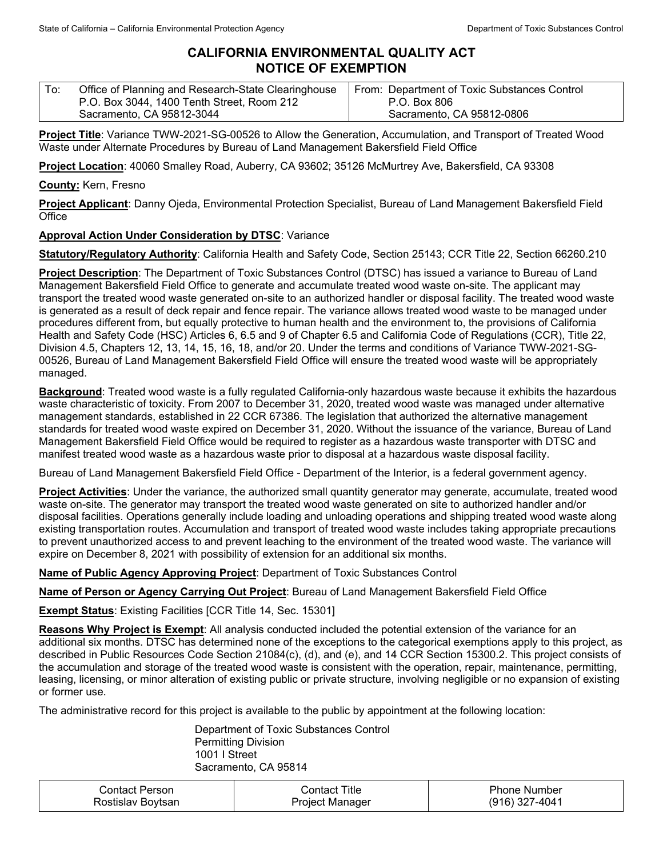## **CALIFORNIA ENVIRONMENTAL QUALITY ACT NOTICE OF EXEMPTION**

| $\mathsf{T}$ o: | Office of Planning and Research-State Clearinghouse | From: Department of Toxic Substances Control |
|-----------------|-----------------------------------------------------|----------------------------------------------|
|                 | P.O. Box 3044, 1400 Tenth Street, Room 212          | P.O. Box 806                                 |
|                 | Sacramento, CA 95812-3044                           | Sacramento, CA 95812-0806                    |

**Project Title**: Variance TWW-2021-SG-00526 to Allow the Generation, Accumulation, and Transport of Treated Wood Waste under Alternate Procedures by Bureau of Land Management Bakersfield Field Office

**Project Location**: 40060 Smalley Road, Auberry, CA 93602; 35126 McMurtrey Ave, Bakersfield, CA 93308

## **County:** Kern, Fresno

**Project Applicant**: Danny Ojeda, Environmental Protection Specialist, Bureau of Land Management Bakersfield Field **Office** 

## **Approval Action Under Consideration by DTSC**: Variance

**Statutory/Regulatory Authority**: California Health and Safety Code, Section 25143; CCR Title 22, Section 66260.210

**Project Description**: The Department of Toxic Substances Control (DTSC) has issued a variance to Bureau of Land Management Bakersfield Field Office to generate and accumulate treated wood waste on-site. The applicant may transport the treated wood waste generated on-site to an authorized handler or disposal facility. The treated wood waste is generated as a result of deck repair and fence repair. The variance allows treated wood waste to be managed under procedures different from, but equally protective to human health and the environment to, the provisions of California Health and Safety Code (HSC) Articles 6, 6.5 and 9 of Chapter 6.5 and California Code of Regulations (CCR), Title 22, Division 4.5, Chapters 12, 13, 14, 15, 16, 18, and/or 20. Under the terms and conditions of Variance TWW-2021-SG-00526, Bureau of Land Management Bakersfield Field Office will ensure the treated wood waste will be appropriately managed.

**Background**: Treated wood waste is a fully regulated California-only hazardous waste because it exhibits the hazardous waste characteristic of toxicity. From 2007 to December 31, 2020, treated wood waste was managed under alternative management standards, established in 22 CCR 67386. The legislation that authorized the alternative management standards for treated wood waste expired on December 31, 2020. Without the issuance of the variance, Bureau of Land Management Bakersfield Field Office would be required to register as a hazardous waste transporter with DTSC and manifest treated wood waste as a hazardous waste prior to disposal at a hazardous waste disposal facility.

Bureau of Land Management Bakersfield Field Office - Department of the Interior, is a federal government agency.

**Project Activities**: Under the variance, the authorized small quantity generator may generate, accumulate, treated wood waste on-site. The generator may transport the treated wood waste generated on site to authorized handler and/or disposal facilities. Operations generally include loading and unloading operations and shipping treated wood waste along existing transportation routes. Accumulation and transport of treated wood waste includes taking appropriate precautions to prevent unauthorized access to and prevent leaching to the environment of the treated wood waste. The variance will expire on December 8, 2021 with possibility of extension for an additional six months.

**Name of Public Agency Approving Project**: Department of Toxic Substances Control

**Name of Person or Agency Carrying Out Project**: Bureau of Land Management Bakersfield Field Office

**Exempt Status**: Existing Facilities [CCR Title 14, Sec. 15301]

**Reasons Why Project is Exempt**: All analysis conducted included the potential extension of the variance for an additional six months. DTSC has determined none of the exceptions to the categorical exemptions apply to this project, as described in Public Resources Code Section 21084(c), (d), and (e), and 14 CCR Section 15300.2. This project consists of the accumulation and storage of the treated wood waste is consistent with the operation, repair, maintenance, permitting, leasing, licensing, or minor alteration of existing public or private structure, involving negligible or no expansion of existing or former use.

The administrative record for this project is available to the public by appointment at the following location:

Department of Toxic Substances Control Permitting Division 1001 I Street Sacramento, CA 95814

| <b>Contact Person</b> | Contact Title   | <b>Phone Number</b> |
|-----------------------|-----------------|---------------------|
| Rostislav Boytsan     | Project Manager | (916) 327-4041      |